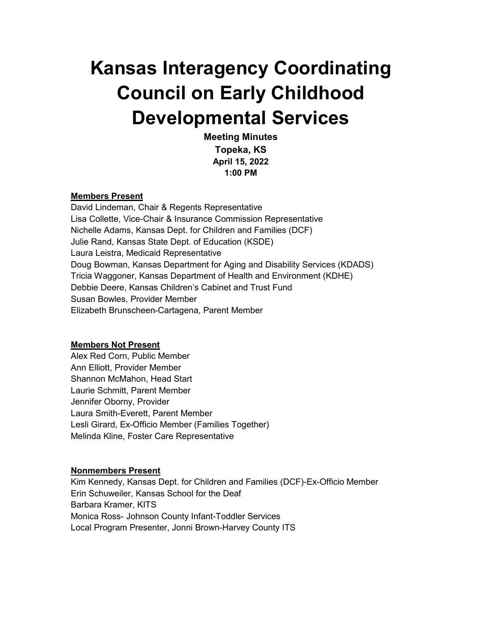# **Kansas Interagency Coordinating Council on Early Childhood Developmental Services**

**Meeting Minutes Topeka, KS April 15, 2022 1:00 PM**

#### **Members Present**

David Lindeman, Chair & Regents Representative Lisa Collette, Vice-Chair & Insurance Commission Representative Nichelle Adams, Kansas Dept. for Children and Families (DCF) Julie Rand, Kansas State Dept. of Education (KSDE) Laura Leistra, Medicaid Representative Doug Bowman, Kansas Department for Aging and Disability Services (KDADS) Tricia Waggoner, Kansas Department of Health and Environment (KDHE) Debbie Deere, Kansas Children's Cabinet and Trust Fund Susan Bowles, Provider Member Elizabeth Brunscheen-Cartagena, Parent Member

#### **Members Not Present**

Alex Red Corn, Public Member Ann Elliott, Provider Member Shannon McMahon, Head Start Laurie Schmitt, Parent Member Jennifer Oborny, Provider Laura Smith-Everett, Parent Member Lesli Girard, Ex-Officio Member (Families Together) Melinda Kline, Foster Care Representative

#### **Nonmembers Present**

Kim Kennedy, Kansas Dept. for Children and Families (DCF)-Ex-Officio Member Erin Schuweiler, Kansas School for the Deaf Barbara Kramer, KITS Monica Ross- Johnson County Infant-Toddler Services Local Program Presenter, Jonni Brown-Harvey County ITS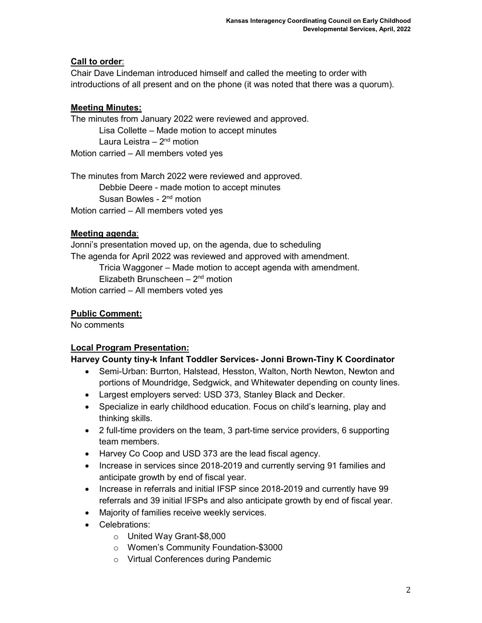## **Call to order**:

Chair Dave Lindeman introduced himself and called the meeting to order with introductions of all present and on the phone (it was noted that there was a quorum).

# **Meeting Minutes:**

The minutes from January 2022 were reviewed and approved. Lisa Collette – Made motion to accept minutes Laura Leistra  $-2<sup>nd</sup>$  motion Motion carried – All members voted yes

The minutes from March 2022 were reviewed and approved. Debbie Deere - made motion to accept minutes Susan Bowles - 2<sup>nd</sup> motion Motion carried – All members voted yes

# **Meeting agenda**:

Jonni's presentation moved up, on the agenda, due to scheduling The agenda for April 2022 was reviewed and approved with amendment. Tricia Waggoner – Made motion to accept agenda with amendment. Elizabeth Brunscheen  $-2<sup>nd</sup>$  motion Motion carried – All members voted yes

# **Public Comment:**

No comments

## **Local Program Presentation:**

## **Harvey County tiny-k Infant Toddler Services- Jonni Brown-Tiny K Coordinator**

- Semi-Urban: Burrton, Halstead, Hesston, Walton, North Newton, Newton and portions of Moundridge, Sedgwick, and Whitewater depending on county lines.
- Largest employers served: USD 373, Stanley Black and Decker.
- Specialize in early childhood education. Focus on child's learning, play and thinking skills.
- 2 full-time providers on the team, 3 part-time service providers, 6 supporting team members.
- Harvey Co Coop and USD 373 are the lead fiscal agency.
- Increase in services since 2018-2019 and currently serving 91 families and anticipate growth by end of fiscal year.
- Increase in referrals and initial IFSP since 2018-2019 and currently have 99 referrals and 39 initial IFSPs and also anticipate growth by end of fiscal year.
- Majority of families receive weekly services.
- Celebrations:
	- o United Way Grant-\$8,000
	- o Women's Community Foundation-\$3000
	- o Virtual Conferences during Pandemic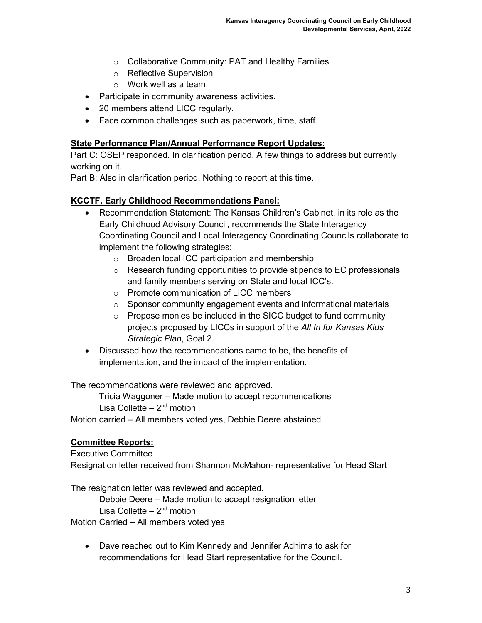- o Collaborative Community: PAT and Healthy Families
- o Reflective Supervision
- o Work well as a team
- Participate in community awareness activities.
- 20 members attend LICC regularly.
- Face common challenges such as paperwork, time, staff.

#### **State Performance Plan/Annual Performance Report Updates:**

Part C: OSEP responded. In clarification period. A few things to address but currently working on it.

Part B: Also in clarification period. Nothing to report at this time.

#### **KCCTF, Early Childhood Recommendations Panel:**

- Recommendation Statement: The Kansas Children's Cabinet, in its role as the Early Childhood Advisory Council, recommends the State Interagency Coordinating Council and Local Interagency Coordinating Councils collaborate to implement the following strategies:
	- o Broaden local ICC participation and membership
	- o Research funding opportunities to provide stipends to EC professionals and family members serving on State and local ICC's.
	- o Promote communication of LICC members
	- o Sponsor community engagement events and informational materials
	- $\circ$  Propose monies be included in the SICC budget to fund community projects proposed by LICCs in support of the *All In for Kansas Kids Strategic Plan*, Goal 2.
- Discussed how the recommendations came to be, the benefits of implementation, and the impact of the implementation.

The recommendations were reviewed and approved.

Tricia Waggoner – Made motion to accept recommendations Lisa Collette  $-2<sup>nd</sup>$  motion

Motion carried – All members voted yes, Debbie Deere abstained

#### **Committee Reports:**

### Executive Committee

Resignation letter received from Shannon McMahon- representative for Head Start

The resignation letter was reviewed and accepted.

Debbie Deere – Made motion to accept resignation letter Lisa Collette  $-2<sup>nd</sup>$  motion

Motion Carried – All members voted yes

• Dave reached out to Kim Kennedy and Jennifer Adhima to ask for recommendations for Head Start representative for the Council.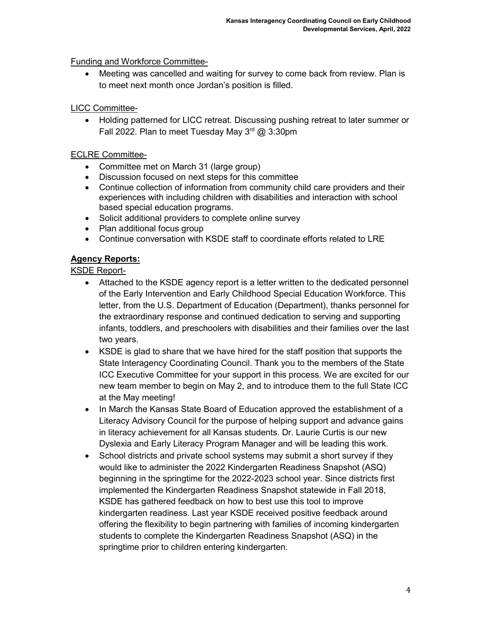## Funding and Workforce Committee-

• Meeting was cancelled and waiting for survey to come back from review. Plan is to meet next month once Jordan's position is filled.

## LICC Committee-

• Holding patterned for LICC retreat. Discussing pushing retreat to later summer or Fall 2022. Plan to meet Tuesday May  $3<sup>rd</sup>$  @ 3:30pm

## ECLRE Committee-

- Committee met on March 31 (large group)
- Discussion focused on next steps for this committee
- Continue collection of information from community child care providers and their experiences with including children with disabilities and interaction with school based special education programs.
- Solicit additional providers to complete online survey
- Plan additional focus group
- Continue conversation with KSDE staff to coordinate efforts related to LRE

## **Agency Reports:**

KSDE Report-

- Attached to the KSDE agency report is a letter written to the dedicated personnel of the Early Intervention and Early Childhood Special Education Workforce. This letter, from the U.S. Department of Education (Department), thanks personnel for the extraordinary response and continued dedication to serving and supporting infants, toddlers, and preschoolers with disabilities and their families over the last two years.
- KSDE is glad to share that we have hired for the staff position that supports the State Interagency Coordinating Council. Thank you to the members of the State ICC Executive Committee for your support in this process. We are excited for our new team member to begin on May 2, and to introduce them to the full State ICC at the May meeting!
- In March the Kansas State Board of Education approved the establishment of a Literacy Advisory Council for the purpose of helping support and advance gains in literacy achievement for all Kansas students. Dr. Laurie Curtis is our new Dyslexia and Early Literacy Program Manager and will be leading this work.
- School districts and private school systems may submit a short survey if they would like to administer the 2022 Kindergarten Readiness Snapshot (ASQ) beginning in the springtime for the 2022-2023 school year. Since districts first implemented the Kindergarten Readiness Snapshot statewide in Fall 2018, KSDE has gathered feedback on how to best use this tool to improve kindergarten readiness. Last year KSDE received positive feedback around offering the flexibility to begin partnering with families of incoming kindergarten students to complete the Kindergarten Readiness Snapshot (ASQ) in the springtime prior to children entering kindergarten.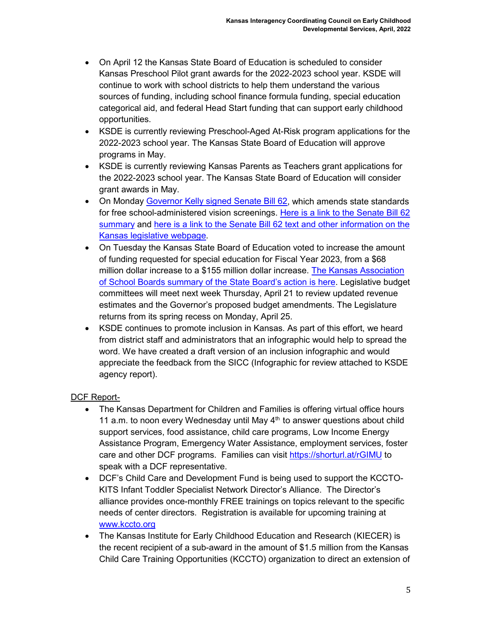- On April 12 the Kansas State Board of Education is scheduled to consider Kansas Preschool Pilot grant awards for the 2022-2023 school year. KSDE will continue to work with school districts to help them understand the various sources of funding, including school finance formula funding, special education categorical aid, and federal Head Start funding that can support early childhood opportunities.
- KSDE is currently reviewing Preschool-Aged At-Risk program applications for the 2022-2023 school year. The Kansas State Board of Education will approve programs in May.
- KSDE is currently reviewing Kansas Parents as Teachers grant applications for the 2022-2023 school year. The Kansas State Board of Education will consider grant awards in May.
- On Monday [Governor Kelly signed Senate Bill 62,](https://kansasreflector.com/2022/04/11/kansas-governor-signs-bill-modifying-free-vision-screening-of-school-children/) which amends state standards for free school-administered vision screenings. [Here is a link to the Senate Bill 62](http://www.kslegislature.org/li/b2021_22/measures/documents/ccrb_sb62_01_0000.pdf)  [summary](http://www.kslegislature.org/li/b2021_22/measures/documents/ccrb_sb62_01_0000.pdf) and [here is a link to the Senate Bill 62 text and other information on the](http://kslegislature.org/li/b2021_22/measures/sb62/)  [Kansas legislative webpage.](http://kslegislature.org/li/b2021_22/measures/sb62/)
- On Tuesday the Kansas State Board of Education voted to increase the amount of funding requested for special education for Fiscal Year 2023, from a \$68 million dollar increase to a \$155 million dollar increase. [The Kansas Association](https://www.kasb.org/45132?articleID=104897)  [of School Boards summary of the State Board's action is here.](https://www.kasb.org/45132?articleID=104897) Legislative budget committees will meet next week Thursday, April 21 to review updated revenue estimates and the Governor's proposed budget amendments. The Legislature returns from its spring recess on Monday, April 25.
- KSDE continues to promote inclusion in Kansas. As part of this effort, we heard from district staff and administrators that an infographic would help to spread the word. We have created a draft version of an inclusion infographic and would appreciate the feedback from the SICC (Infographic for review attached to KSDE agency report).

## DCF Report-

- The Kansas Department for Children and Families is offering virtual office hours 11 a.m. to noon every Wednesday until May  $4<sup>th</sup>$  to answer questions about child support services, food assistance, child care programs, Low Income Energy Assistance Program, Emergency Water Assistance, employment services, foster care and other DCF programs. Families can visit<https://shorturl.at/rGIMU> to speak with a DCF representative.
- DCF's Child Care and Development Fund is being used to support the KCCTO-KITS Infant Toddler Specialist Network Director's Alliance. The Director's alliance provides once-monthly FREE trainings on topics relevant to the specific needs of center directors. Registration is available for upcoming training at [www.kccto.org](http://www.kccto.org/)
- The Kansas Institute for Early Childhood Education and Research (KIECER) is the recent recipient of a sub-award in the amount of \$1.5 million from the Kansas Child Care Training Opportunities (KCCTO) organization to direct an extension of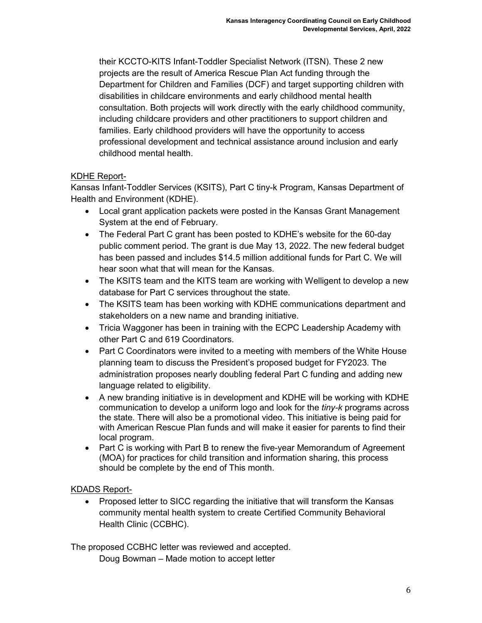their KCCTO-KITS Infant-Toddler Specialist Network (ITSN). These 2 new projects are the result of America Rescue Plan Act funding through the Department for Children and Families (DCF) and target supporting children with disabilities in childcare environments and early childhood mental health consultation. Both projects will work directly with the early childhood community, including childcare providers and other practitioners to support children and families. Early childhood providers will have the opportunity to access professional development and technical assistance around inclusion and early childhood mental health.

## KDHE Report-

Kansas Infant-Toddler Services (KSITS), Part C tiny-k Program, Kansas Department of Health and Environment (KDHE).

- Local grant application packets were posted in the Kansas Grant Management System at the end of February.
- The Federal Part C grant has been posted to KDHE's website for the 60-day public comment period. The grant is due May 13, 2022. The new federal budget has been passed and includes \$14.5 million additional funds for Part C. We will hear soon what that will mean for the Kansas.
- The KSITS team and the KITS team are working with Welligent to develop a new database for Part C services throughout the state.
- The KSITS team has been working with KDHE communications department and stakeholders on a new name and branding initiative.
- Tricia Waggoner has been in training with the ECPC Leadership Academy with other Part C and 619 Coordinators.
- Part C Coordinators were invited to a meeting with members of the White House planning team to discuss the President's proposed budget for FY2023. The administration proposes nearly doubling federal Part C funding and adding new language related to eligibility.
- A new branding initiative is in development and KDHE will be working with KDHE communication to develop a uniform logo and look for the *tiny-k* programs across the state. There will also be a promotional video. This initiative is being paid for with American Rescue Plan funds and will make it easier for parents to find their local program.
- Part C is working with Part B to renew the five-year Memorandum of Agreement (MOA) for practices for child transition and information sharing, this process should be complete by the end of This month.

## KDADS Report-

• Proposed letter to SICC regarding the initiative that will transform the Kansas community mental health system to create Certified Community Behavioral Health Clinic (CCBHC).

The proposed CCBHC letter was reviewed and accepted. Doug Bowman – Made motion to accept letter